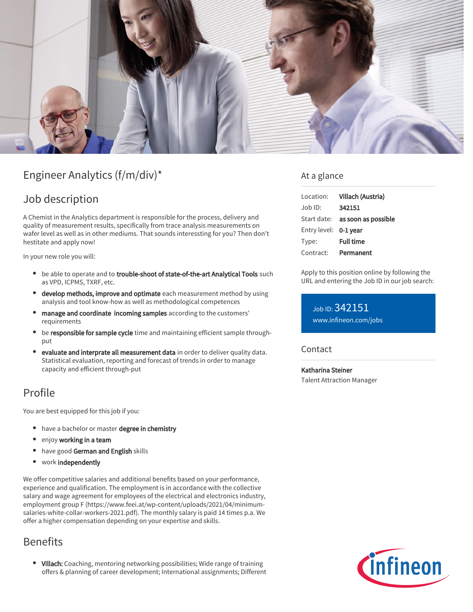

# Engineer Analytics (f/m/div)\*

## Job description

A Chemist in the Analytics department is responsible for the process, delivery and quality of measurement results, specifically from trace analysis measurements on wafer level as well as in other mediums. That sounds interessting for you? Then don't hestitate and apply now!

In your new role you will:

- **•** be able to operate and to trouble-shoot of state-of-the-art Analytical Tools such as VPD, ICPMS, TXRF, etc.
- develop methods, improve and optimate each measurement method by using analysis and tool know-how as well as methodological competences
- manage and coordinate incoming samples according to the customers' requirements
- be responsible for sample cycle time and maintaining efficient sample throughput
- $\bullet$ evaluate and interprate all measurement data in order to deliver quality data. Statistical evaluation, reporting and forecast of trends in order to manage capacity and efficient through-put

## Profile

You are best equipped for this job if you:

- have a bachelor or master degree in chemistry
- enjoy working in a team
- have good German and English skills
- work independently

We offer competitive salaries and additional benefits based on your performance, experience and qualification. The employment is in accordance with the collective salary and wage agreement for employees of the electrical and electronics industry, employment group F (https://www.feei.at/wp-content/uploads/2021/04/minimumsalaries-white-collar-workers-2021.pdf). The monthly salary is paid 14 times p.a. We offer a higher compensation depending on your expertise and skills.

## Benefits

• Villach: Coaching, mentoring networking possibilities; Wide range of training offers & planning of career development; International assignments; Different

### At a glance

|                       | Location: Villach (Austria)            |
|-----------------------|----------------------------------------|
| Job ID:               | 342151                                 |
|                       | Start date: <b>as soon as possible</b> |
| Entry level: 0-1 year |                                        |
| Type:                 | <b>Full time</b>                       |
| Contract:             | Permanent                              |

Apply to this position online by following the URL and entering the Job ID in our job search:

Job ID: 342151 [www.infineon.com/jobs](https://www.infineon.com/jobs)

### **Contact**

Katharina Steiner Talent Attraction Manager